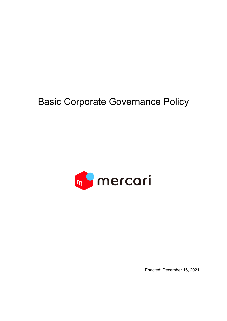# Basic Corporate Governance Policy



Enacted: December 16, 2021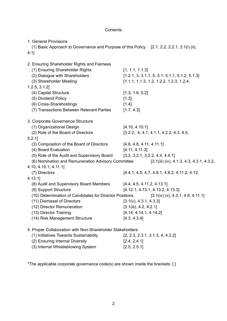# **Contents**

| 1. General Provisions<br>(1) Basic Approach to Governance and Purpose of this Policy [2.1, 2.2, 2.2.1, 3.1(i) (ii),<br>$4.1$ ] |                                                  |
|--------------------------------------------------------------------------------------------------------------------------------|--------------------------------------------------|
| 2. Ensuring Shareholder Rights and Fairness<br>(1) Ensuring Shareholder Rights                                                 | [1, 1.1, 1.1.3]                                  |
| (2) Dialogue with Shareholders                                                                                                 | $[1.2.1, 3, 3.1.1, 5, 5.1, 5.1.1, 5.1.2, 5.1.3]$ |
| (3) Shareholder Meeting                                                                                                        | $[1.1.1, 1.1.3, 1.2, 1.2.2, 1.2.3, 1.2.4,$       |
| 1.2.5, 3.1.2                                                                                                                   |                                                  |
| (4) Capital Structure                                                                                                          | [1.3, 1.6, 5.2]                                  |
| (5) Dividend Policy                                                                                                            | [1.3]                                            |
| (6) Cross-Shareholdings                                                                                                        | [1.4]                                            |
| (7) Transactions Between Relevant Parties                                                                                      | [1.7, 4.3]                                       |
| 3. Corporate Governance Structure                                                                                              |                                                  |
| (1) Organizational Design                                                                                                      | [4.10, 4.10.1]                                   |
| (2) Role of the Board of Directors                                                                                             | $[3.2.2, 4, 4.1, 4.1.1, 4.2.2, 4.3, 4.5,$        |
| $5.2.1$ ]                                                                                                                      |                                                  |
| (3) Composition of the Board of Directors                                                                                      | [4.6, 4.8, 4.11, 4.11.1]                         |
| (4) Board Evaluation                                                                                                           | [4.11, 4.11.3]                                   |
| (5) Role of the Audit and Supervisory Board                                                                                    | [3.2, 3.2.1, 3.2.2, 4.4, 4.4.1]                  |
| (6) Nomination and Remuneration Advisory Committee                                                                             | $[3.1(iii) (iv), 4.1.3, 4.3, 4.3.1, 4.3.2,$      |
| 4.10, 4.10.1, 4.11.1]                                                                                                          |                                                  |
| (7) Directors                                                                                                                  | [4.4.1, 4.5, 4.7, 4.8.1, 4.8.2, 4.11.2, 4.12,    |
| 4.13.1                                                                                                                         |                                                  |
| (8) Audit and Supervisory Board Members                                                                                        | [4.4, 4.5, 4.11.2, 4.13.1]                       |
| (9) Support Structure                                                                                                          | [4.12.1, 4.13.1, 4.13.2, 4.13.3]                 |
| (10) Determination of Candidates for Director Positions                                                                        | [3.1(iv) (v), 4.3.1, 4.9, 4.11.1]                |
| (11) Dismissal of Directors                                                                                                    | [3.1(v), 4.3.1, 4.3.3]                           |
| (12) Director Remuneration                                                                                                     | [3.1(iii), 4.2, 4.2.1]                           |
| (13) Director Training                                                                                                         | [4.14, 4.14.1, 4.14.2]                           |
| (14) Risk Management Structure                                                                                                 | [4.3, 4.3.4]                                     |
| 4. Proper Collaboration with Non-Shareholder Stakeholders                                                                      |                                                  |
| (1) Initiatives Towards Sustainability                                                                                         | [2, 2.3, 2.3.1, 3.1.3, 4, 4.2.2]                 |
| (2) Ensuring Internal Diversity                                                                                                | [2.4, 2.4.1]                                     |
| (3) Internal Whistleblowing System                                                                                             | [2.5, 2.5.1]                                     |

\*The applicable corporate governance code(s) are shown inside the brackets: [ ]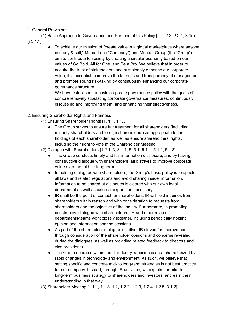#### 1. General Provisions

(1) Basic Approach to Governance and Purpose of this Policy [2.1, 2.2, 2.2.1, 3.1(i)

- (ii), 4.1]
- To achieve our mission of "create value in a global marketplace where anyone can buy & sell," Mercari (the "Company") and Mercari Group (the "Group") aim to contribute to society by creating a circular economy based on our values of Go Bold, All for One, and Be a Pro. We believe that in order to acquire the trust of stakeholders and sustainably enhance our corporate value, it is essential to improve the fairness and transparency of management and promote sound risk-taking by continuously enhancing our corporate governance structure.

We have established a basic corporate governance policy with the goals of comprehensively stipulating corporate governance measures, continuously discussing and improving them, and enhancing their effectiveness.

- 2. Ensuring Shareholder Rights and Fairness
	- (1) Ensuring Shareholder Rights [1, 1.1, 1.1.3]
		- The Group strives to ensure fair treatment for all shareholders (including minority shareholders and foreign shareholders) as appropriate to the holdings of each shareholder, as well as ensure shareholders' rights, including their right to vote at the Shareholder Meeting.
	- (2) Dialogue with Shareholders [1.2.1, 3, 3.1.1, 5, 5.1, 5.1.1, 5.1.2, 5.1.3]
		- The Group conducts timely and fair information disclosure, and by having constructive dialogue with shareholders, also strives to improve corporate value over the mid- to long-term.
		- In holding dialogues with shareholders, the Group's basic policy is to uphold all laws and related regulations and avoid sharing insider information. Information to be shared at dialogues is cleared with our own legal department as well as external experts as necessary.
		- IR shall be the point of contact for shareholders. IR will field inquiries from shareholders within reason and with consideration to requests from shareholders and the objective of the inquiry. Furthermore, in promoting constructive dialogue with shareholders, IR and other related departments/teams work closely together, including periodically holding opinion and information sharing sessions.
		- As part of the shareholder dialogue initiative, IR strives for improvement through consideration of the shareholder opinions and concerns revealed during the dialogues, as well as providing related feedback to directors and vice presidents.
		- The Group operates within the IT industry, a business area characterized by rapid changes in technology and environment. As such, we believe that setting specific and concrete mid- to long-term strategies is not best practice for our company. Instead, through IR activities, we explain our mid- to long-term business strategy to shareholders and investors, and earn their understanding in that way.
	- (3) Shareholder Meeting [1.1.1, 1.1.3, 1.2, 1.2.2, 1.2.3, 1.2.4, 1.2.5, 3.1.2]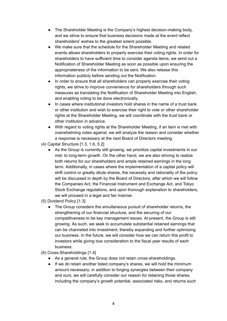- The Shareholder Meeting is the Company's highest decision-making body, and we strive to ensure that business decisions made at the event reflect shareholders' wishes to the greatest extent possible.
- We make sure that the schedule for the Shareholder Meeting and related events allows shareholders to properly exercise their voting rights. In order for shareholders to have sufficient time to consider agenda items, we send out a Notification of Shareholder Meeting as soon as possible upon ensuring the appropriateness of the information to be sent. We also release this information publicly before sending out the Notification.
- In order to ensure that all shareholders can properly exercise their voting rights, we strive to improve convenience for shareholders through such measures as translating the Notification of Shareholder Meeting into English, and enabling voting to be done electronically.
- In cases where institutional investors hold shares in the name of a trust bank or other institution and wish to exercise their right to vote or other shareholder rights at the Shareholder Meeting, we will coordinate with the trust bank or other institution in advance.
- With regard to voting rights at the Shareholder Meeting, if an item is met with overwhelming votes against, we will analyze the reason and consider whether a response is necessary at the next Board of Directors meeting.
- (4) Capital Structure [1.3, 1.6, 5.2]
	- As the Group is currently still growing, we prioritize capital investments in our mid- to long-term growth. On the other hand, we are also striving to realize both returns for our shareholders and ample retained earnings in the long term. Additionally, in cases where the implementation of a capital policy will shift control or greatly dilute shares, the necessity and rationality of the policy will be discussed in depth by the Board of Directors, after which we will follow the Companies Act, the Financial Instrument and Exchange Act, and Tokyo Stock Exchange regulations, and upon thorough explanation to shareholders, we will proceed in a legal and fair manner.
- (5) Dividend Policy [1.3]
	- The Group considers the simultaneous pursuit of shareholder returns, the strengthening of our financial structure, and the securing of our competitiveness to be key management issues. At present, the Group is still growing. As such, we seek to accumulate substantial retained earnings that can be channeled into investment, thereby expanding and further optimizing our business. In the future, we will consider how we can return this profit to investors while giving due consideration to the fiscal year results of each business.
- (6) Cross-Shareholdings [1.4]
	- As a general rule, the Group does not retain cross-shareholdings.
	- If we do retain another listed company's shares, we will hold the minimum amount necessary; in addition to forging synergies between their company and ours, we will carefully consider our reason for retaining those shares, including the company's growth potential, associated risks, and returns such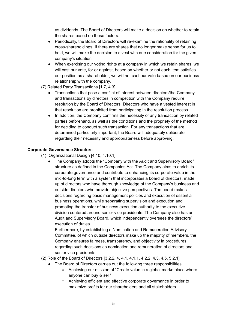as dividends. The Board of Directors will make a decision on whether to retain the shares based on these factors.

- Periodically, the Board of Directors will re-examine the rationality of retaining cross-shareholdings. If there are shares that no longer make sense for us to hold, we will make the decision to divest with due consideration for the given company's situation.
- When exercising our voting rights at a company in which we retain shares, we will cast our vote, for or against, based on whether or not each item satisfies our position as a shareholder; we will not cast our vote based on our business relationship with the company.
- (7) Related Party Transactions [1.7, 4.3]
	- Transactions that pose a conflict of interest between directors/the Company and transactions by directors in competition with the Company require resolution by the Board of Directors. Directors who have a vested interest in that resolution are prohibited from participating in the resolution process.
	- In addition, the Company confirms the necessity of any transaction by related parties beforehand, as well as the conditions and the propriety of the method for deciding to conduct such transaction. For any transactions that are determined particularly important, the Board will adequately deliberate regarding their necessity and appropriateness before approving.

## **Corporate Governance Structure**

(1) IOrganizational Design [4.10, 4.10.1]

• The Company adopts the "Company with the Audit and Supervisory Board" structure as defined in the Companies Act. The Company aims to enrich its corporate governance and contribute to enhancing its corporate value in the mid-to-long term with a system that incorporates a board of directors, made up of directors who have thorough knowledge of the Company's business and outside directors who provide objective perspectives. The board makes decisions regarding basic management policies and execution of essential business operations, while separating supervision and execution and promoting the transfer of business execution authority to the executive division centered around senior vice presidents. The Company also has an Audit and Supervisory Board, which independently oversees the directors' execution of duties.

Furthermore, by establishing a Nomination and Remuneration Advisory Committee, of which outside directors make up the majority of members, the Company ensures fairness, transparency, and objectivity in procedures regarding such decisions as nomination and remuneration of directors and senior vice presidents.

(2) Role of the Board of Directors [3.2.2, 4, 4.1, 4.1.1, 4.2.2, 4.3, 4.5, 5.2.1]

- The Board of Directors carries out the following three responsibilities.
	- Achieving our mission of "Create value in a global marketplace where anyone can buy & sell"
	- Achieving efficient and effective corporate governance in order to maximize profits for our shareholders and all stakeholders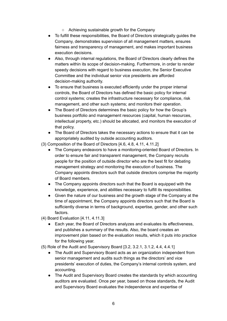- Achieving sustainable growth for the Company
- To fulfill these responsibilities, the Board of Directors strategically guides the Company, demonstrates supervision of all management matters, ensures fairness and transparency of management, and makes important business execution decisions.
- Also, through internal regulations, the Board of Directors clearly defines the matters within its scope of decision-making. Furthermore, in order to render speedy decisions with regard to business execution, the Senior Executive Committee and the individual senior vice presidents are afforded decision-making authority.
- To ensure that business is executed efficiently under the proper internal controls, the Board of Directors has defined the basic policy for internal control systems; creates the infrastructure necessary for compliance, risk management, and other such systems; and monitors their operation.
- The Board of Directors determines the basic policy for how the Group's business portfolio and management resources (capital, human resources, intellectual property, etc.) should be allocated, and monitors the execution of that policy.
- The Board of Directors takes the necessary actions to ensure that it can be appropriately audited by outside accounting auditors.
- (3) Composition of the Board of Directors [4.6, 4.8, 4.11, 4.11.2]
	- The Company endeavors to have a monitoring-oriented Board of Directors. In order to ensure fair and transparent management, the Company recruits people for the position of outside director who are the best fit for debating management strategy and monitoring the execution of business. The Company appoints directors such that outside directors comprise the majority of Board members.
	- The Company appoints directors such that the Board is equipped with the knowledge, experience, and abilities necessary to fulfill its responsibilities.
	- Given the nature of our business and the growth stage of the Company at the time of appointment, the Company appoints directors such that the Board is sufficiently diverse in terms of background, expertise, gender, and other such factors.
- (4) Board Evaluation [4.11, 4.11.3]
	- Each year, the Board of Directors analyzes and evaluates its effectiveness, and publishes a summary of the results. Also, the board creates an improvement plan based on the evaluation results, which it puts into practice for the following year.
- (5) Role of the Audit and Supervisory Board [3.2, 3.2.1, 3.1.2, 4.4, 4.4.1]
	- The Audit and Supervisory Board acts as an organization independent from senior management and audits such things as the directors' and vice presidents' execution of duties, the Company's internal controls system, and accounting.
	- The Audit and Supervisory Board creates the standards by which accounting auditors are evaluated. Once per year, based on those standards, the Audit and Supervisory Board evaluates the independence and expertise of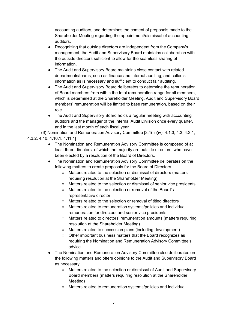accounting auditors, and determines the content of proposals made to the Shareholder Meeting regarding the appointment/dismissal of accounting auditors.

- Recognizing that outside directors are independent from the Company's management, the Audit and Supervisory Board maintains collaboration with the outside directors sufficient to allow for the seamless sharing of information.
- The Audit and Supervisory Board maintains close contact with related departments/teams, such as finance and internal auditing, and collects information as is necessary and sufficient to conduct fair auditing.
- The Audit and Supervisory Board deliberates to determine the remuneration of Board members from within the total remuneration range for all members, which is determined at the Shareholder Meeting. Audit and Supervisory Board members' remuneration will be limited to base remuneration, based on their role.
- The Audit and Supervisory Board holds a regular meeting with accounting auditors and the manager of the Internal Audit Division once every quarter, and in the last month of each fiscal year.

(6) Nomination and Remuneration Advisory Committee [3.1(iii)(iv), 4.1.3, 4.3, 4.3.1,

4.3.2, 4.10, 4.10.1, 4.11.1]

- The Nomination and Remuneration Advisory Committee is composed of at least three directors, of which the majority are outside directors, who have been elected by a resolution of the Board of Directors.
- The Nomination and Remuneration Advisory Committee deliberates on the following matters to create proposals for the Board of Directors.
	- Matters related to the selection or dismissal of directors (matters requiring resolution at the Shareholder Meeting)
	- Matters related to the selection or dismissal of senior vice presidents
	- Matters related to the selection or removal of the Board's representative director
	- Matters related to the selection or removal of titled directors
	- Matters related to remuneration systems/policies and individual remuneration for directors and senior vice presidents
	- Matters related to directors' remuneration amounts (matters requiring resolution at the Shareholder Meeting)
	- Matters related to succession plans (including development)
	- Other important business matters that the Board recognizes as requiring the Nomination and Remuneration Advisory Committee's advice
- The Nomination and Remuneration Advisory Committee also deliberates on the following matters and offers opinions to the Audit and Supervisory Board as necessary.
	- Matters related to the selection or dismissal of Audit and Supervisory Board members (matters requiring resolution at the Shareholder Meeting)
	- Matters related to remuneration systems/policies and individual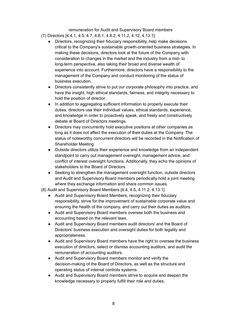remuneration for Audit and Supervisory Board members

- (7) Directors [4.4.1, 4.5, 4.7, 4.8.1, 4.8.2, 4.11.2, 4.12, 4.13.1]
	- Directors, recognizing their fiduciary responsibility, help make decisions critical to the Company's sustainable growth-oriented business strategies. In making these decisions, directors look at the future of the Company with consideration to changes in the market and the industry from a mid- to long-term perspective, also taking their broad and diverse wealth of experience into account. Furthermore, directors have a responsibility to the management of the Company and conduct monitoring of the status of business execution.
	- Directors consistently strive to put our corporate philosophy into practice, and have the insight, high ethical standards, fairness, and integrity necessary to hold the position of director.
	- In addition to aggregating sufficient information to properly execute their duties, directors use their individual values, ethical standards, experience, and knowledge in order to proactively speak, and freely and constructively debate at Board of Directors meetings.
	- Directors may concurrently hold executive positions at other companies as long as it does not affect the execution of their duties at the Company. The status of noteworthy concurrent directors will be recorded in the Notification of Shareholder Meeting.
	- Outside directors utilize their experience and knowledge from an independent standpoint to carry out management oversight, management advice, and conflict of interest oversight functions. Additionally, they echo the opinions of stakeholders to the Board of Directors.
	- Seeking to strengthen the management oversight function, outside directors and Audit and Supervisory Board members periodically hold a joint meeting where they exchange information and share common issues.
- (8) Audit and Supervisory Board Members [4.4, 4.5, 4.11.2, 4.13.1]
	- Audit and Supervisory Board Members, recognizing their fiduciary responsibility, strive for the improvement of sustainable corporate value and ensuring the health of the company, and carry out their duties as auditors.
	- Audit and Supervisory Board members oversee both the business and accounting based on the relevant laws.
	- Audit and Supervisory Board members audit directors' and the Board of Directors' business execution and oversight duties for both legality and appropriateness.
	- Audit and Supervisory Board members have the right to oversee the business execution of directors, select or dismiss accounting auditors, and audit the remuneration of accounting auditors.
	- Audit and Supervisory Board members monitor and verify the decision-making of the Board of Directors, as well as the structure and operating status of internal controls systems.
	- Audit and Supervisory Board members strive to acquire and deepen the knowledge necessary to properly fulfill their role and duties.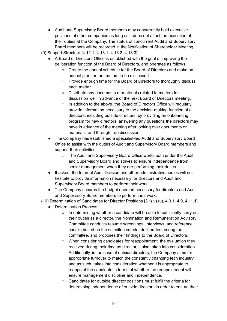- Audit and Supervisory Board members may concurrently hold executive positions at other companies as long as it does not affect the execution of their duties at the Company. The status of concurrent Audit and Supervisory Board members will be recorded in the Notification of Shareholder Meeting.
- (9) Support Structure [4.12.1, 4.13.1, 4.13.2, 4.13.3]
	- A Board of Directors Office is established with the goal of improving the deliberation function of the Board of Directors, and operates as follows.
		- Create the annual schedule for the Board of Directors and make an annual plan for the matters to be discussed.
		- Provide enough time for the Board of Directors to thoroughly discuss each matter.
		- Distribute any documents or materials related to matters for discussion well in advance of the next Board of Directors meeting.
		- In addition to the above, the Board of Directors Office will regularly provide information necessary to the decision-making function of all directors, including outside directors, by providing an onboarding program for new directors, answering any questions the directors may have in advance of the meeting after looking over documents or materials, and through free discussion.
	- The Company has established a specialist-led Audit and Supervisory Board Office to assist with the duties of Audit and Supervisory Board members and support their activities.
		- The Audit and Supervisory Board Office works both under the Audit and Supervisory Board and strives to ensure independence from senior management when they are performing their duties.
	- If asked, the Internal Audit Division and other administrative bodies will not hesitate to provide information necessary for directors and Audit and Supervisory Board members to perform their work.
	- The Company secures the budget deemed necessary for directors and Audit and Supervisory Board members to perform their work.

(10) Determination of Candidates for Director Positions [3.1(iv) (v), 4.3.1, 4.9, 4.11.1]

- Determination Process
	- In determining whether a candidate will be able to sufficiently carry out their duties as a director, the Nomination and Remuneration Advisory Committee conducts resume screenings, interviews, and reference checks based on the selection criteria, deliberates among the committee, and proposes their findings to the Board of Directors.
	- When considering candidates for reappointment, the evaluation they received during their time as director is also taken into consideration. Additionally, in the case of outside directors, the Company aims for appropriate turnover to match the constantly changing tech industry, and as such, takes into consideration whether it is appropriate to reappoint the candidate in terms of whether the reappointment will ensure management discipline and independence.
	- Candidates for outside director positions must fulfill the criteria for determining independence of outside directors in order to ensure their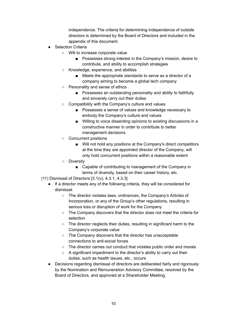independence. The criteria for determining independence of outside directors is determined by the Board of Directors and included in the appendix of this document.

- **Selection Criteria** 
	- Will to increase corporate value
		- Possesses strong interest in the Company's mission, desire to contribute, and ability to accomplish strategies
	- Knowledge, experience, and abilities
		- Meets the appropriate standards to serve as a director of a company aiming to become a global tech company
	- Personality and sense of ethics
		- Possesses an outstanding personality and ability to faithfully and sincerely carry out their duties
	- Compatibility with the Company's culture and values
		- Possesses a sense of values and knowledge necessary to embody the Company's culture and values
		- Willing to voice dissenting opinions to existing discussions in a constructive manner in order to contribute to better management decisions
	- Concurrent positions
		- Will not hold any positions at the Company's direct competitors at the time they are appointed director of the Company; will only hold concurrent positions within a reasonable extent
	- Diversity
		- Capable of contributing to management of the Company in terms of diversity, based on their career history, etc.
- (11) Dismissal of Directors [3.1(v), 4.3.1, 4.3.3]
	- If a director meets any of the following criteria, they will be considered for dismissal.
		- The director violates laws, ordinances, the Company's Articles of Incorporation, or any of the Group's other regulations, resulting in serious loss or disruption of work for the Company
		- The Company discovers that the director does not meet the criteria for selection
		- The director neglects their duties, resulting in significant harm to the Company's corporate value
		- The Company discovers that the director has unacceptable connections to anti-social forces
		- The director carries out conduct that violates public order and morals
		- A significant impediment to the director's ability to carry out their duties, such as health issues, etc., occurs
	- Decisions regarding dismissal of directors are deliberated fairly and rigorously by the Nomination and Remuneration Advisory Committee, resolved by the Board of Directors, and approved at a Shareholder Meeting.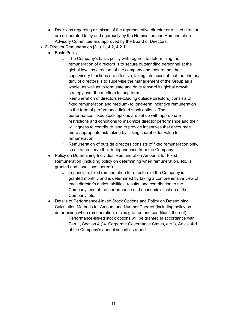- Decisions regarding dismissal of the representative director or a titled director are deliberated fairly and rigorously by the Nomination and Remuneration Advisory Committee and approved by the Board of Directors.
- (12) Director Remuneration [3.1(iii), 4.2, 4.2.1]
	- **Basic Policy** 
		- The Company's basic policy with regards to determining the remuneration of directors is to secure outstanding personnel at the global level as directors of the company and ensure that their supervisory functions are effective, taking into account that the primary duty of directors is to supervise the management of the Group as a whole, as well as to formulate and drive forward its global growth strategy over the medium to long term.
		- Remuneration of directors (excluding outside directors) consists of fixed remuneration and medium- to long-term incentive remuneration in the form of performance-linked stock options. The performance-linked stock options are set up with appropriate restrictions and conditions to maximize director performance and their willingness to contribute, and to provide incentives that encourage more appropriate risk-taking by linking shareholder value to remuneration.
		- Remuneration of outside directors consists of fixed remuneration only, so as to preserve their independence from the Company.
	- Policy on Determining Individual Remuneration Amounts for Fixed Remuneration (including policy on determining when remuneration, etc. is granted and conditions thereof)
		- In principle, fixed remuneration for directors of the Company is granted monthly and is determined by taking a comprehensive view of each director's duties, abilities, results, and contribution to the Company, and of the performance and economic situation of the Company, etc.
	- Details of Performance-Linked Stock Options and Policy on Determining Calculation Methods for Amount and Number Thereof (including policy on determining when remuneration, etc. is granted and conditions thereof)
		- Performance-linked stock options will be granted in accordance with Part 1, Section 4 ("4. Corporate Governance Status, etc."), Article 4-d of the Company's annual securities report.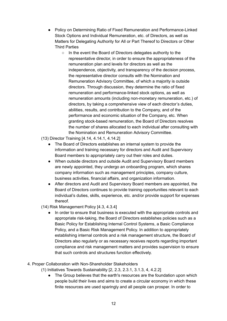- Policy on Determining Ratio of Fixed Remuneration and Performance-Linked Stock Options and Individual Remuneration, etc. of Directors, as well as Matters for Delegating Authority for All or Part Thereof to Directors or Other Third Parties
	- In the event the Board of Directors delegates authority to the representative director, in order to ensure the appropriateness of the remuneration plan and levels for directors as well as the independence, objectivity, and transparency of the decision process, the representative director consults with the Nomination and Remuneration Advisory Committee, of which a majority is outside directors. Through discussion, they determine the ratio of fixed remuneration and performance-linked stock options, as well as remuneration amounts (including non-monetary remuneration, etc.) of directors, by taking a comprehensive view of each director's duties, abilities, results, and contribution to the Company, and of the performance and economic situation of the Company, etc. When granting stock-based remuneration, the Board of Directors resolves the number of shares allocated to each individual after consulting with the Nomination and Remuneration Advisory Committee.

(13) Director Training [4.14, 4.14.1, 4.14.2]

- The Board of Directors establishes an internal system to provide the information and training necessary for directors and Audit and Supervisory Board members to appropriately carry out their roles and duties.
- When outside directors and outside Audit and Supervisory Board members are newly appointed, they undergo an onboarding program, which shares company information such as management principles, company culture, business activities, financial affairs, and organization information.
- After directors and Audit and Supervisory Board members are appointed, the Board of Directors continues to provide training opportunities relevant to each individual's duties, skills, experience, etc. and/or provide support for expenses thereof.

(14) Risk Management Policy [4.3, 4.3.4]

- In order to ensure that business is executed with the appropriate controls and appropriate risk-taking, the Board of Directors establishes policies such as a Basic Policy for Establishing Internal Control Systems, a Basic Compliance Policy, and a Basic Risk Management Policy. In addition to appropriately establishing internal controls and a risk management structure, the Board of Directors also regularly or as necessary receives reports regarding important compliance and risk management matters and provides supervision to ensure that such controls and structures function effectively.
- 4. Proper Collaboration with Non-Shareholder Stakeholders
	- (1) Initiatives Towards Sustainability [2, 2.3, 2.3.1, 3.1.3, 4, 4.2.2]
		- The Group believes that the earth's resources are the foundation upon which people build their lives and aims to create a circular economy in which these finite resources are used sparingly and all people can prosper. In order to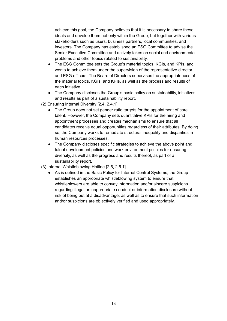achieve this goal, the Company believes that it is necessary to share these ideals and develop them not only within the Group, but together with various stakeholders such as users, business partners, local communities, and investors. The Company has established an ESG Committee to advise the Senior Executive Committee and actively takes on social and environmental problems and other topics related to sustainability.

- The ESG Committee sets the Group's material topics, KGIs, and KPIs, and works to achieve them under the supervision of the representative director and ESG officers. The Board of Directors supervises the appropriateness of the material topics, KGIs, and KPIs, as well as the process and results of each initiative.
- The Company discloses the Group's basic policy on sustainability, initiatives, and results as part of a sustainability report.
- (2) Ensuring Internal Diversity [2.4, 2.4.1]
	- The Group does not set gender ratio targets for the appointment of core talent. However, the Company sets quantitative KPIs for the hiring and appointment processes and creates mechanisms to ensure that all candidates receive equal opportunities regardless of their attributes. By doing so, the Company works to remediate structural inequality and disparities in human resources processes.
	- The Company discloses specific strategies to achieve the above point and talent development policies and work environment policies for ensuring diversity, as well as the progress and results thereof, as part of a sustainability report.
- (3) Internal Whistleblowing Hotline [2.5, 2.5.1]
	- As is defined in the Basic Policy for Internal Control Systems, the Group establishes an appropriate whistleblowing system to ensure that whistleblowers are able to convey information and/or sincere suspicions regarding illegal or inappropriate conduct or information disclosure without risk of being put at a disadvantage, as well as to ensure that such information and/or suspicions are objectively verified and used appropriately.